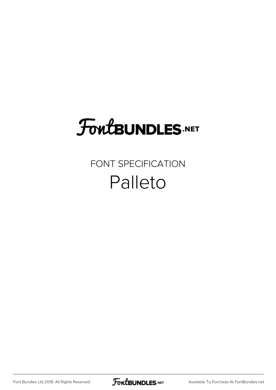# **FoutBUNDLES.NET**

## FONT SPECIFICATION Palleto

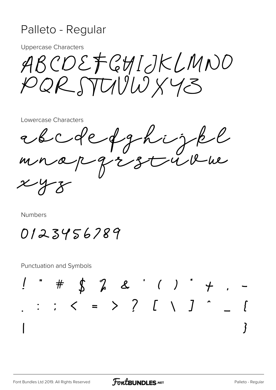#### Palleto - Regular

**Uppercase Characters** 

ABCDEFGHIJKLMNO PQR STUUW XY3

Lowercase Characters

edcoleffhight ンと

Numbers

0123456789

**Punctuation and Symbols**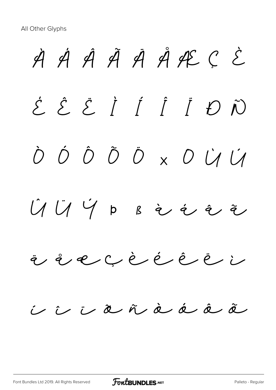All Other Glyphs

À Á Â Ã Ä Å Æ Ç È É Ê Ë Ì Í Î Ï Ð Ñ Ò Ó Ô Õ Ö × Ø Ù Ú  $U$   $U$   $V$   $p$   $s$  à  $i$  à  $i$ ä å æ ç è é ê ë ì í î ï ð ñ ò ó ô õ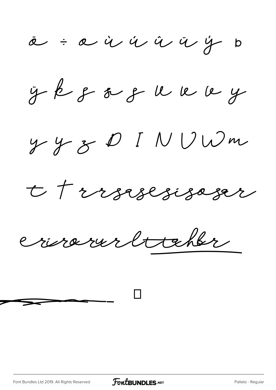$x = a$  à  $x = a$  à  $y = b$ 

 $\ddot{y}$   $\dot{\beta}$   $\dot{\gamma}$   $\ddot{\delta}$   $\dot{\gamma}$   $\ddot{\delta}$   $\ddot{\gamma}$   $\ddot{\delta}$ 

 $y$  y  $z$  D I N V W m

t trrsesesiseser

crissarur littehbr

 $\begin{array}{c} \begin{array}{c} \begin{array}{c} \begin{array}{c} \end{array}\\ \end{array} \end{array} \end{array}$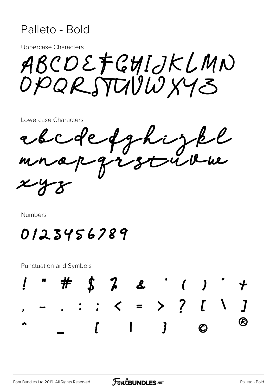#### Palleto - Bold

**Uppercase Characters** 

ABCOEFGHIJKLMN OPQRSTUVWXY3

Lowercase Characters

efghijk<br>arstrik ebco

Numbers

## 0123456789

**Punctuation and Symbols** 

 $\int 2 dx$  $\langle$  = > ? [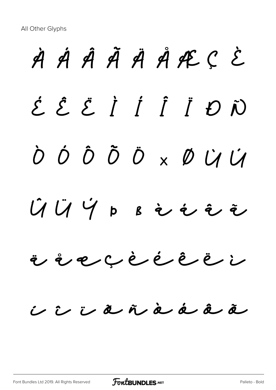All Other Glyphs

# À Á Â Ã Ä Å Æ Ç È É Ê Ë Ì Í Î Ï Ð Ñ Ò Ó Ô Õ Ö × Ø Ù Ú  $\hat{U}$   $\hat{U}$   $\hat{V}$   $\hat{V}$   $\hat{P}$   $\hat{P}$   $\hat{P}$   $\hat{P}$   $\hat{P}$   $\hat{P}$   $\hat{P}$   $\hat{P}$   $\hat{P}$ ä å æ ç è é ê ë ì í î ï ð ñ ò ó ô õ